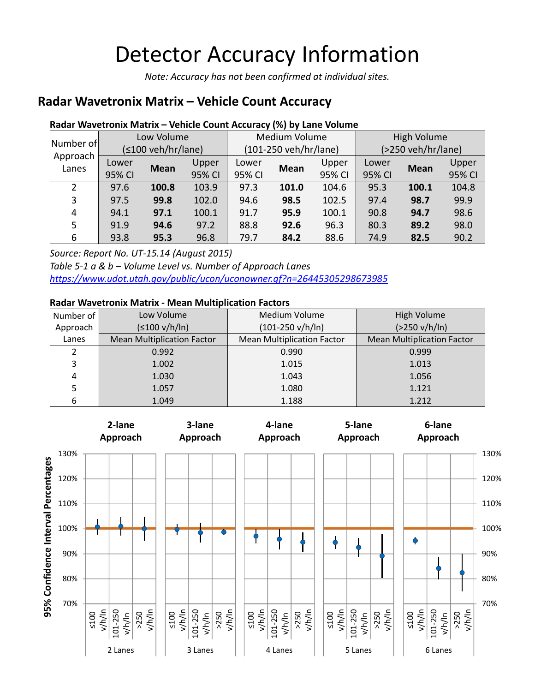## Detector Accuracy Information

*Note: Accuracy has not been confirmed at individual sites.*

### **Radar Wavetronix Matrix – Vehicle Count Accuracy**

#### **Radar Wavetronix Matrix – Vehicle Count Accuracy (%) by Lane Volume**

| Number of<br>Approach<br>Lanes | Low Volume<br>(≤100 veh/hr/lane) |             |                 | Medium Volume<br>(101-250 veh/hr/lane) |             |                 | High Volume<br>(>250 veh/hr/lane) |             |                 |
|--------------------------------|----------------------------------|-------------|-----------------|----------------------------------------|-------------|-----------------|-----------------------------------|-------------|-----------------|
|                                | Lower<br>95% CI                  | <b>Mean</b> | Upper<br>95% CI | Lower<br>95% CI                        | <b>Mean</b> | Upper<br>95% CI | Lower<br>95% CI                   | <b>Mean</b> | Upper<br>95% CI |
| $\overline{2}$                 | 97.6                             | 100.8       | 103.9           | 97.3                                   | 101.0       | 104.6           | 95.3                              | 100.1       | 104.8           |
| 3                              | 97.5                             | 99.8        | 102.0           | 94.6                                   | 98.5        | 102.5           | 97.4                              | 98.7        | 99.9            |
| 4                              | 94.1                             | 97.1        | 100.1           | 91.7                                   | 95.9        | 100.1           | 90.8                              | 94.7        | 98.6            |
| 5                              | 91.9                             | 94.6        | 97.2            | 88.8                                   | 92.6        | 96.3            | 80.3                              | 89.2        | 98.0            |
| 6                              | 93.8                             | 95.3        | 96.8            | 79.7                                   | 84.2        | 88.6            | 74.9                              | 82.5        | 90.2            |

*Source: Report No. UT‐15.14 (August 2015) Table 5‐1 a & b – Volume Level vs Number of Approach Lanes vs. https://www.udot.utah.gov/public/ucon/uconowner.gf?n=26445305298673985*

#### **Radar Wavetronix Matrix ‐ Mean Multiplication Factors**

| Number of | Low Volume                 | Medium Volume                     | High Volume                       |  |
|-----------|----------------------------|-----------------------------------|-----------------------------------|--|
| Approach  | (≤100 v/h/ln)              | $(101-250 \text{ v/h/ln})$        | (>250 v/h/ln)                     |  |
| Lanes     | Mean Multiplication Factor | <b>Mean Multiplication Factor</b> | <b>Mean Multiplication Factor</b> |  |
| 2         | 0.992                      | 0.990                             | 0.999                             |  |
| 3         | 1.002                      | 1.015                             | 1.013                             |  |
| 4         | 1.030                      | 1.043                             | 1.056                             |  |
| 5         | 1.057                      | 1.080                             | 1.121                             |  |
| 6         | 1.049                      | 1.188                             | 1.212                             |  |

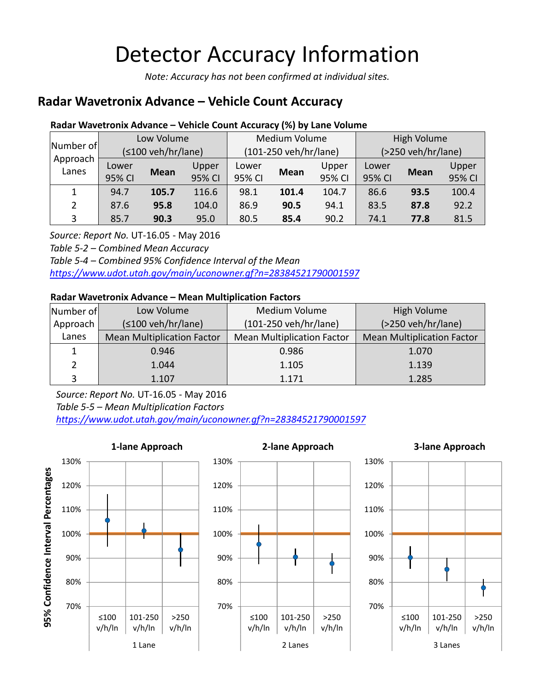# Detector Accuracy Information

*Note: Accuracy has not been confirmed at individual sites.*

## **Radar Wavetronix Advance – Vehicle Count Accuracy**

### **Radar Wavetronix Advance – Vehicle Count Accuracy (%) by Lane Volume**

| Number of         | Low Volume         |             | Medium Volume |                       |             | High Volume |                    |             |       |
|-------------------|--------------------|-------------|---------------|-----------------------|-------------|-------------|--------------------|-------------|-------|
|                   | (≤100 veh/hr/lane) |             |               | (101-250 veh/hr/lane) |             |             | (>250 veh/hr/lane) |             |       |
| Approach<br>Lanes | Lower              | <b>Mean</b> | Upper         | Lower                 | <b>Mean</b> | Upper       | Lower              | <b>Mean</b> | Upper |
|                   | 95% CI             |             | 95% CI        | 95% CI                | 95% CI      | 95% CI      |                    | 95% CI      |       |
| 1                 | 94.7               | 105.7       | 116.6         | 98.1                  | 101.4       | 104.7       | 86.6               | 93.5        | 100.4 |
| 2                 | 87.6               | 95.8        | 104.0         | 86.9                  | 90.5        | 94.1        | 83.5               | 87.8        | 92.2  |
| 3                 | 85.7               | 90.3        | 95.0          | 80.5                  | 85.4        | 90.2        | 74.1               | 77.8        | 81.5  |

*Source: Report No.* UT‐16.05 ‐ May 2016

*Table 5‐2 – Combined Mean Accuracy*

*Table 5‐4 – Combined 95% Confidence Interval of the Mean*

*https://www.udot.utah.gov/main/uconowner.gf?n=28384521790001597*

#### **Radar Wavetronix Advance – Mean Multiplication Factors**

| Number of | Low Volume                        | Medium Volume                     | High Volume                       |  |  |
|-----------|-----------------------------------|-----------------------------------|-----------------------------------|--|--|
| Approach  | (≤100 veh/hr/lane)                | (101-250 veh/hr/lane)             | (>250 veh/hr/lane)                |  |  |
| Lanes     | <b>Mean Multiplication Factor</b> | <b>Mean Multiplication Factor</b> | <b>Mean Multiplication Factor</b> |  |  |
|           | 0.946                             | 0.986                             | 1.070                             |  |  |
| 2         | 1.044                             | 1.105                             | 1.139                             |  |  |
| 3         | 1.107                             | 1.171                             | 1.285                             |  |  |

*Source: Report No.* UT‐16.05 ‐ May 2016 *Table 5‐5 – Mean Multiplication Factors https://www.udot.utah.gov/main/uconowner.gf?n=28384521790001597 p g gf*